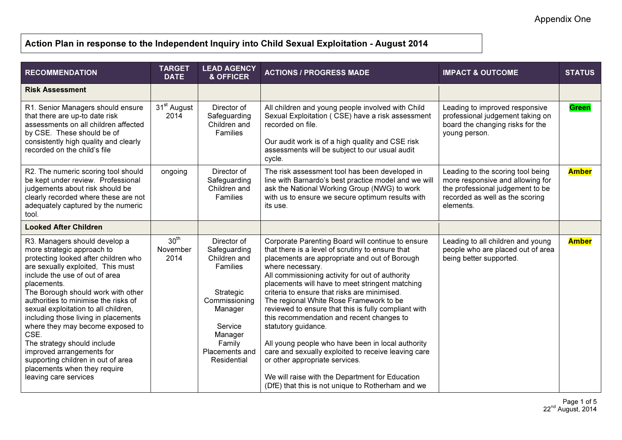## Action Plan in response to the Independent Inquiry into Child Sexual Exploitation - August 2014

| <b>RECOMMENDATION</b>                                                                                                                                                                                                                                                                                                                                                                                                                                                                                                                                          | <b>TARGET</b><br><b>DATE</b>         | <b>LEAD AGENCY</b><br>& OFFICER                                                                                                                                   | <b>ACTIONS / PROGRESS MADE</b>                                                                                                                                                                                                                                                                                                                                                                                                                                                                                                                                                                                                                                                                                                                                | <b>IMPACT &amp; OUTCOME</b>                                                                                                                               | <b>STATUS</b> |
|----------------------------------------------------------------------------------------------------------------------------------------------------------------------------------------------------------------------------------------------------------------------------------------------------------------------------------------------------------------------------------------------------------------------------------------------------------------------------------------------------------------------------------------------------------------|--------------------------------------|-------------------------------------------------------------------------------------------------------------------------------------------------------------------|---------------------------------------------------------------------------------------------------------------------------------------------------------------------------------------------------------------------------------------------------------------------------------------------------------------------------------------------------------------------------------------------------------------------------------------------------------------------------------------------------------------------------------------------------------------------------------------------------------------------------------------------------------------------------------------------------------------------------------------------------------------|-----------------------------------------------------------------------------------------------------------------------------------------------------------|---------------|
| <b>Risk Assessment</b>                                                                                                                                                                                                                                                                                                                                                                                                                                                                                                                                         |                                      |                                                                                                                                                                   |                                                                                                                                                                                                                                                                                                                                                                                                                                                                                                                                                                                                                                                                                                                                                               |                                                                                                                                                           |               |
| R1. Senior Managers should ensure<br>that there are up-to date risk<br>assessments on all children affected<br>by CSE. These should be of<br>consistently high quality and clearly<br>recorded on the child's file                                                                                                                                                                                                                                                                                                                                             | 31 <sup>st</sup> August<br>2014      | Director of<br>Safeguarding<br>Children and<br>Families                                                                                                           | All children and young people involved with Child<br>Sexual Exploitation (CSE) have a risk assessment<br>recorded on file.<br>Our audit work is of a high quality and CSE risk<br>assessments will be subject to our usual audit<br>cycle.                                                                                                                                                                                                                                                                                                                                                                                                                                                                                                                    | Leading to improved responsive<br>professional judgement taking on<br>board the changing risks for the<br>young person.                                   | <b>Green</b>  |
| R2. The numeric scoring tool should<br>be kept under review. Professional<br>judgements about risk should be<br>clearly recorded where these are not<br>adequately captured by the numeric<br>tool.                                                                                                                                                                                                                                                                                                                                                            | ongoing                              | Director of<br>Safeguarding<br>Children and<br>Families                                                                                                           | The risk assessment tool has been developed in<br>line with Barnardo's best practice model and we will<br>ask the National Working Group (NWG) to work<br>with us to ensure we secure optimum results with<br>its use.                                                                                                                                                                                                                                                                                                                                                                                                                                                                                                                                        | Leading to the scoring tool being<br>more responsive and allowing for<br>the professional judgement to be<br>recorded as well as the scoring<br>elements. | <b>Amber</b>  |
| <b>Looked After Children</b>                                                                                                                                                                                                                                                                                                                                                                                                                                                                                                                                   |                                      |                                                                                                                                                                   |                                                                                                                                                                                                                                                                                                                                                                                                                                                                                                                                                                                                                                                                                                                                                               |                                                                                                                                                           |               |
| R3. Managers should develop a<br>more strategic approach to<br>protecting looked after children who<br>are sexually exploited, This must<br>include the use of out of area<br>placements.<br>The Borough should work with other<br>authorities to minimise the risks of<br>sexual exploitation to all children,<br>including those living in placements<br>where they may become exposed to<br>CSE.<br>The strategy should include<br>improved arrangements for<br>supporting children in out of area<br>placements when they require<br>leaving care services | 30 <sup>th</sup><br>November<br>2014 | Director of<br>Safeguarding<br>Children and<br>Families<br>Strategic<br>Commissioning<br>Manager<br>Service<br>Manager<br>Family<br>Placements and<br>Residential | Corporate Parenting Board will continue to ensure<br>that there is a level of scrutiny to ensure that<br>placements are appropriate and out of Borough<br>where necessary.<br>All commissioning activity for out of authority<br>placements will have to meet stringent matching<br>criteria to ensure that risks are minimised.<br>The regional White Rose Framework to be<br>reviewed to ensure that this is fully compliant with<br>this recommendation and recent changes to<br>statutory guidance.<br>All young people who have been in local authority<br>care and sexually exploited to receive leaving care<br>or other appropriate services.<br>We will raise with the Department for Education<br>(DfE) that this is not unique to Rotherham and we | Leading to all children and young<br>people who are placed out of area<br>being better supported.                                                         | <b>Amber</b>  |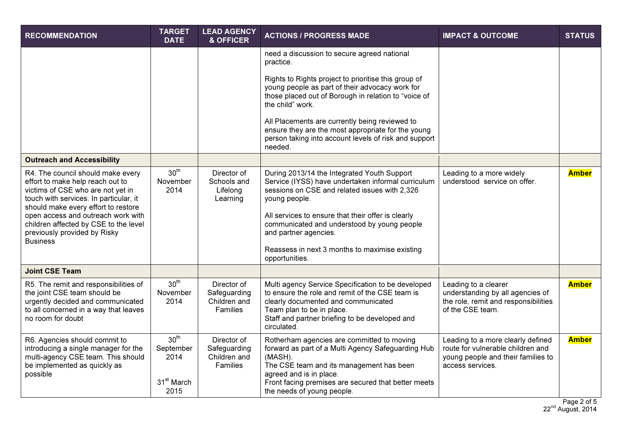| <b>RECOMMENDATION</b>                                                                                                                                                                                                                                                                                                         | <b>TARGET</b><br><b>DATE</b>                                            | <b>LEAD AGENCY</b><br>& OFFICER                         | <b>ACTIONS / PROGRESS MADE</b>                                                                                                                                                                                                                                                                                                                                        | <b>IMPACT &amp; OUTCOME</b>                                                                                                      | <b>STATUS</b> |
|-------------------------------------------------------------------------------------------------------------------------------------------------------------------------------------------------------------------------------------------------------------------------------------------------------------------------------|-------------------------------------------------------------------------|---------------------------------------------------------|-----------------------------------------------------------------------------------------------------------------------------------------------------------------------------------------------------------------------------------------------------------------------------------------------------------------------------------------------------------------------|----------------------------------------------------------------------------------------------------------------------------------|---------------|
|                                                                                                                                                                                                                                                                                                                               |                                                                         |                                                         | need a discussion to secure agreed national<br>practice.                                                                                                                                                                                                                                                                                                              |                                                                                                                                  |               |
|                                                                                                                                                                                                                                                                                                                               |                                                                         |                                                         | Rights to Rights project to prioritise this group of<br>young people as part of their advocacy work for<br>those placed out of Borough in relation to "voice of<br>the child" work.                                                                                                                                                                                   |                                                                                                                                  |               |
|                                                                                                                                                                                                                                                                                                                               |                                                                         |                                                         | All Placements are currently being reviewed to<br>ensure they are the most appropriate for the young<br>person taking into account levels of risk and support<br>needed.                                                                                                                                                                                              |                                                                                                                                  |               |
| <b>Outreach and Accessibility</b>                                                                                                                                                                                                                                                                                             |                                                                         |                                                         |                                                                                                                                                                                                                                                                                                                                                                       |                                                                                                                                  |               |
| R4. The council should make every<br>effort to make help reach out to<br>victims of CSE who are not yet in<br>touch with services. In particular, it<br>should make every effort to restore<br>open access and outreach work with<br>children affected by CSE to the level<br>previously provided by Risky<br><b>Business</b> | 30 <sup>th</sup><br>November<br>2014                                    | Director of<br>Schools and<br>Lifelong<br>Learning      | During 2013/14 the Integrated Youth Support<br>Service (IYSS) have undertaken informal curriculum<br>sessions on CSE and related issues with 2,326<br>young people.<br>All services to ensure that their offer is clearly<br>communicated and understood by young people<br>and partner agencies.<br>Reassess in next 3 months to maximise existing<br>opportunities. | Leading to a more widely<br>understood service on offer.                                                                         | <b>Amber</b>  |
| <b>Joint CSE Team</b>                                                                                                                                                                                                                                                                                                         |                                                                         |                                                         |                                                                                                                                                                                                                                                                                                                                                                       |                                                                                                                                  |               |
| R5. The remit and responsibilities of<br>the joint CSE team should be<br>urgently decided and communicated<br>to all concerned in a way that leaves<br>no room for doubt                                                                                                                                                      | 30 <sup>th</sup><br>November<br>2014                                    | Director of<br>Safeguarding<br>Children and<br>Families | Multi agency Service Specification to be developed<br>to ensure the role and remit of the CSE team is<br>clearly documented and communicated<br>Team plan to be in place.<br>Staff and partner briefing to be developed and<br>circulated.                                                                                                                            | Leading to a clearer<br>understanding by all agencies of<br>the role, remit and responsibilities<br>of the CSE team.             | <b>Amber</b>  |
| R6. Agencies should commit to<br>introducing a single manager for the<br>multi-agency CSE team. This should<br>be implemented as quickly as<br>possible                                                                                                                                                                       | 30 <sup>th</sup><br>September<br>2014<br>31 <sup>st</sup> March<br>2015 | Director of<br>Safeguarding<br>Children and<br>Families | Rotherham agencies are committed to moving<br>forward as part of a Multi Agency Safeguarding Hub<br>(MASH).<br>The CSE team and its management has been<br>agreed and is in place.<br>Front facing premises are secured that better meets<br>the needs of young people.                                                                                               | Leading to a more clearly defined<br>route for vulnerable children and<br>young people and their families to<br>access services. | <b>Amber</b>  |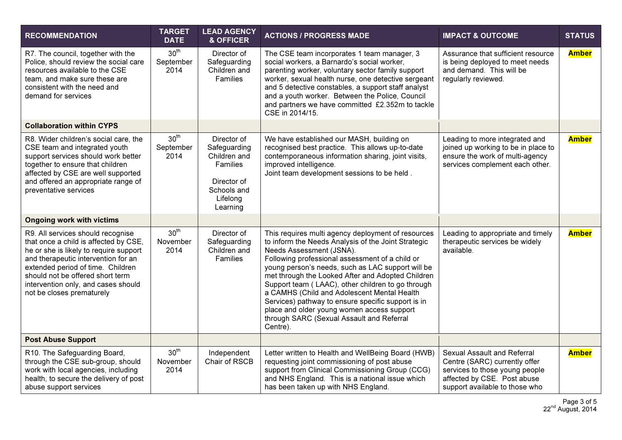| <b>RECOMMENDATION</b>                                                                                                                                                                                                                                                                                    | <b>TARGET</b><br><b>DATE</b>          | <b>LEAD AGENCY</b><br>& OFFICER                                                                                      | <b>ACTIONS / PROGRESS MADE</b>                                                                                                                                                                                                                                                                                                                                                                                                                                                                                                                                      | <b>IMPACT &amp; OUTCOME</b>                                                                                                                                     | <b>STATUS</b> |
|----------------------------------------------------------------------------------------------------------------------------------------------------------------------------------------------------------------------------------------------------------------------------------------------------------|---------------------------------------|----------------------------------------------------------------------------------------------------------------------|---------------------------------------------------------------------------------------------------------------------------------------------------------------------------------------------------------------------------------------------------------------------------------------------------------------------------------------------------------------------------------------------------------------------------------------------------------------------------------------------------------------------------------------------------------------------|-----------------------------------------------------------------------------------------------------------------------------------------------------------------|---------------|
| R7. The council, together with the<br>Police, should review the social care<br>resources available to the CSE<br>team, and make sure these are<br>consistent with the need and<br>demand for services                                                                                                    | 30 <sup>th</sup><br>September<br>2014 | Director of<br>Safeguarding<br>Children and<br>Families                                                              | The CSE team incorporates 1 team manager, 3<br>social workers, a Barnardo's social worker,<br>parenting worker, voluntary sector family support<br>worker, sexual health nurse, one detective sergeant<br>and 5 detective constables, a support staff analyst<br>and a youth worker. Between the Police, Council<br>and partners we have committed £2.352m to tackle<br>CSE in 2014/15.                                                                                                                                                                             | Assurance that sufficient resource<br>is being deployed to meet needs<br>and demand. This will be<br>regularly reviewed.                                        | <b>Amber</b>  |
| <b>Collaboration within CYPS</b>                                                                                                                                                                                                                                                                         |                                       |                                                                                                                      |                                                                                                                                                                                                                                                                                                                                                                                                                                                                                                                                                                     |                                                                                                                                                                 |               |
| R8. Wider children's social care, the<br>CSE team and integrated youth<br>support services should work better<br>together to ensure that children<br>affected by CSE are well supported<br>and offered an appropriate range of<br>preventative services                                                  | 30 <sup>th</sup><br>September<br>2014 | Director of<br>Safeguarding<br>Children and<br><b>Families</b><br>Director of<br>Schools and<br>Lifelong<br>Learning | We have established our MASH, building on<br>recognised best practice. This allows up-to-date<br>contemporaneous information sharing, joint visits,<br>improved intelligence.<br>Joint team development sessions to be held.                                                                                                                                                                                                                                                                                                                                        | Leading to more integrated and<br>joined up working to be in place to<br>ensure the work of multi-agency<br>services complement each other.                     | <b>Amber</b>  |
| <b>Ongoing work with victims</b>                                                                                                                                                                                                                                                                         |                                       |                                                                                                                      |                                                                                                                                                                                                                                                                                                                                                                                                                                                                                                                                                                     |                                                                                                                                                                 |               |
| R9. All services should recognise<br>that once a child is affected by CSE,<br>he or she is likely to require support<br>and therapeutic intervention for an<br>extended period of time. Children<br>should not be offered short term<br>intervention only, and cases should<br>not be closes prematurely | 30 <sup>th</sup><br>November<br>2014  | Director of<br>Safeguarding<br>Children and<br>Families                                                              | This requires multi agency deployment of resources<br>to inform the Needs Analysis of the Joint Strategic<br>Needs Assessment (JSNA).<br>Following professional assessment of a child or<br>young person's needs, such as LAC support will be<br>met through the Looked After and Adopted Children<br>Support team (LAAC), other children to go through<br>a CAMHS (Child and Adolescent Mental Health<br>Services) pathway to ensure specific support is in<br>place and older young women access support<br>through SARC (Sexual Assault and Referral<br>Centre). | Leading to appropriate and timely<br>therapeutic services be widely<br>available.                                                                               | <b>Amber</b>  |
| <b>Post Abuse Support</b>                                                                                                                                                                                                                                                                                |                                       |                                                                                                                      |                                                                                                                                                                                                                                                                                                                                                                                                                                                                                                                                                                     |                                                                                                                                                                 |               |
| R10. The Safeguarding Board,<br>through the CSE sub-group, should<br>work with local agencies, including<br>health, to secure the delivery of post<br>abuse support services                                                                                                                             | 30 <sup>th</sup><br>November<br>2014  | Independent<br>Chair of RSCB                                                                                         | Letter written to Health and WellBeing Board (HWB)<br>requesting joint commissioning of post abuse<br>support from Clinical Commissioning Group (CCG)<br>and NHS England. This is a national issue which<br>has been taken up with NHS England.                                                                                                                                                                                                                                                                                                                     | Sexual Assault and Referral<br>Centre (SARC) currently offer<br>services to those young people<br>affected by CSE. Post abuse<br>support available to those who | <b>Amber</b>  |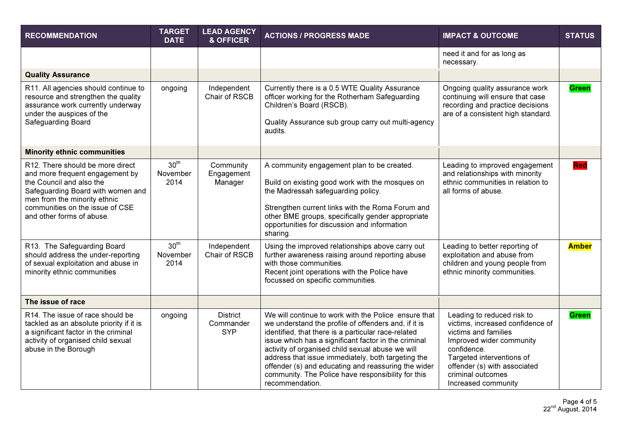| <b>RECOMMENDATION</b>                                                                                                                                                                                                                | <b>TARGET</b><br><b>DATE</b>         | <b>LEAD AGENCY</b><br>& OFFICER            | <b>ACTIONS / PROGRESS MADE</b>                                                                                                                                                                                                                                                                                                                                                                                                                                        | <b>IMPACT &amp; OUTCOME</b>                                                                                                                                                                                                                | <b>STATUS</b> |
|--------------------------------------------------------------------------------------------------------------------------------------------------------------------------------------------------------------------------------------|--------------------------------------|--------------------------------------------|-----------------------------------------------------------------------------------------------------------------------------------------------------------------------------------------------------------------------------------------------------------------------------------------------------------------------------------------------------------------------------------------------------------------------------------------------------------------------|--------------------------------------------------------------------------------------------------------------------------------------------------------------------------------------------------------------------------------------------|---------------|
|                                                                                                                                                                                                                                      |                                      |                                            |                                                                                                                                                                                                                                                                                                                                                                                                                                                                       | need it and for as long as<br>necessary.                                                                                                                                                                                                   |               |
| <b>Quality Assurance</b>                                                                                                                                                                                                             |                                      |                                            |                                                                                                                                                                                                                                                                                                                                                                                                                                                                       |                                                                                                                                                                                                                                            |               |
| R11. All agencies should continue to<br>resource and strengthen the quality<br>assurance work currently underway<br>under the auspices of the<br>Safeguarding Board                                                                  | ongoing                              | Independent<br>Chair of RSCB               | Currently there is a 0.5 WTE Quality Assurance<br>officer working for the Rotherham Safeguarding<br>Children's Board (RSCB).<br>Quality Assurance sub group carry out multi-agency<br>audits.                                                                                                                                                                                                                                                                         | Ongoing quality assurance work<br>continuing will ensure that case<br>recording and practice decisions<br>are of a consistent high standard.                                                                                               | <b>Green</b>  |
| <b>Minority ethnic communities</b>                                                                                                                                                                                                   |                                      |                                            |                                                                                                                                                                                                                                                                                                                                                                                                                                                                       |                                                                                                                                                                                                                                            |               |
| R12. There should be more direct<br>and more frequent engagement by<br>the Council and also the<br>Safeguarding Board with women and<br>men from the minority ethnic<br>communities on the issue of CSE<br>and other forms of abuse. | 30 <sup>th</sup><br>November<br>2014 | Community<br>Engagement<br>Manager         | A community engagement plan to be created.<br>Build on existing good work with the mosques on<br>the Madressah safeguarding policy.<br>Strengthen current links with the Roma Forum and<br>other BME groups, specifically gender appropriate<br>opportunities for discussion and information<br>sharing.                                                                                                                                                              | Leading to improved engagement<br>and relationships with minority<br>ethnic communities in relation to<br>all forms of abuse.                                                                                                              | <b>Red</b>    |
| R13. The Safeguarding Board<br>should address the under-reporting<br>of sexual exploitation and abuse in<br>minority ethnic communities                                                                                              | 30 <sup>th</sup><br>November<br>2014 | Independent<br>Chair of RSCB               | Using the improved relationships above carry out<br>further awareness raising around reporting abuse<br>with those communities.<br>Recent joint operations with the Police have<br>focussed on specific communities.                                                                                                                                                                                                                                                  | Leading to better reporting of<br>exploitation and abuse from<br>children and young people from<br>ethnic minority communities.                                                                                                            | <b>Amber</b>  |
| The issue of race                                                                                                                                                                                                                    |                                      |                                            |                                                                                                                                                                                                                                                                                                                                                                                                                                                                       |                                                                                                                                                                                                                                            |               |
| R14. The issue of race should be<br>tackled as an absolute priority if it is<br>a significant factor in the criminal<br>activity of organised child sexual<br>abuse in the Borough                                                   | ongoing                              | <b>District</b><br>Commander<br><b>SYP</b> | We will continue to work with the Police ensure that<br>we understand the profile of offenders and, if it is<br>identified, that there is a particular race-related<br>issue which has a significant factor in the criminal<br>activity of organised child sexual abuse we will<br>address that issue immediately, both targeting the<br>offender (s) and educating and reassuring the wider<br>community. The Police have responsibility for this<br>recommendation. | Leading to reduced risk to<br>victims, increased confidence of<br>victims and families<br>Improved wider community<br>confidence.<br>Targeted interventions of<br>offender (s) with associated<br>criminal outcomes<br>Increased community | <b>Green</b>  |